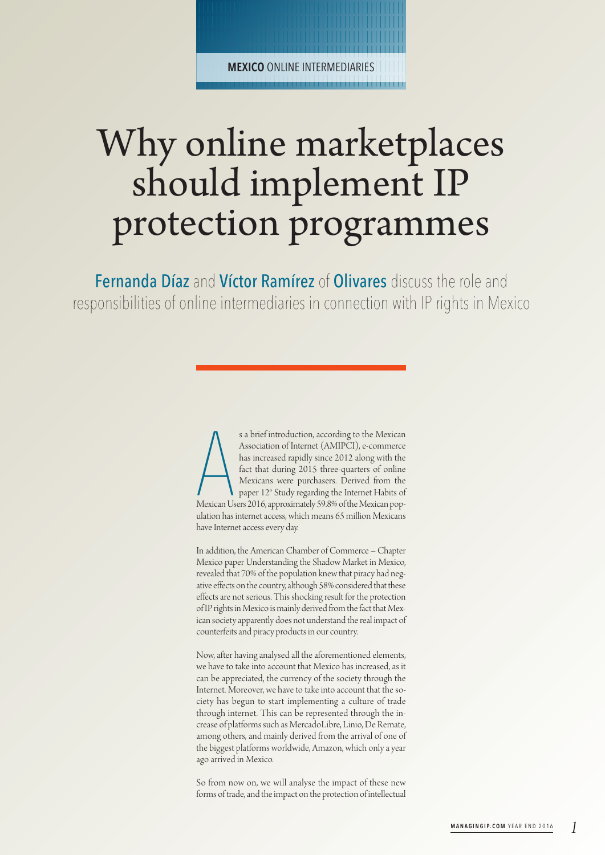**MEXICO** ONLINE INTERMEDIARIES | | | | | | | | | | | | | | | | | | | | | | | | | | | | | | | | | | | | | | | | | | | | | | |

| | | | | | | | | | | | | | | | | | | | | | | | | | | | | | | | | | | | | | | | | | | | | | |

## Why online marketplaces should implement IP protection programmes

Fernanda Díaz and Víctor Ramírez of Olivares discuss the role and responsibilities of online intermediaries in connection with IP rights in Mexico

> s a brief introduction, according to the Mexican<br>Association of Internet (AMIPCI), e-commerce<br>has increased rapidly since 2012 along with the<br>fact that during 2015 three-quarters of online<br>Mexicans were purchasers. Derived s a brief introduction, according to the Mexican Association of Internet (AMIPCI), e-commerce has increased rapidly since 2012 along with the fact that during 2015 three-quarters of online Mexicans were purchasers. Derived from the paper 12° Study regarding the Internet Habits of ulation has internet access, which means 65 million Mexicans have Internet access every day.

> In addition, the American Chamber of Commerce – Chapter Mexico paper Understanding the Shadow Market in Mexico, revealed that 70% of the population knew that piracy had negative effects on the country, although 58% considered that these effects are not serious. This shocking result for the protection of IP rights in Mexico is mainly derived from the fact that Mexican society apparently does not understand the real impact of counterfeits and piracy products in our country.

> Now, after having analysed all the aforementioned elements, we have to take into account that Mexico has increased, as it can be appreciated, the currency of the society through the Internet. Moreover, we have to take into account that the society has begun to start implementing a culture of trade through internet. This can be represented through the increase of platforms such as MercadoLibre, Linio,De Remate, among others, and mainly derived from the arrival of one of the biggest platforms worldwide, Amazon, which only a year ago arrived in Mexico.

> So from now on, we will analyse the impact of these new forms of trade, and the impact on the protection of intellectual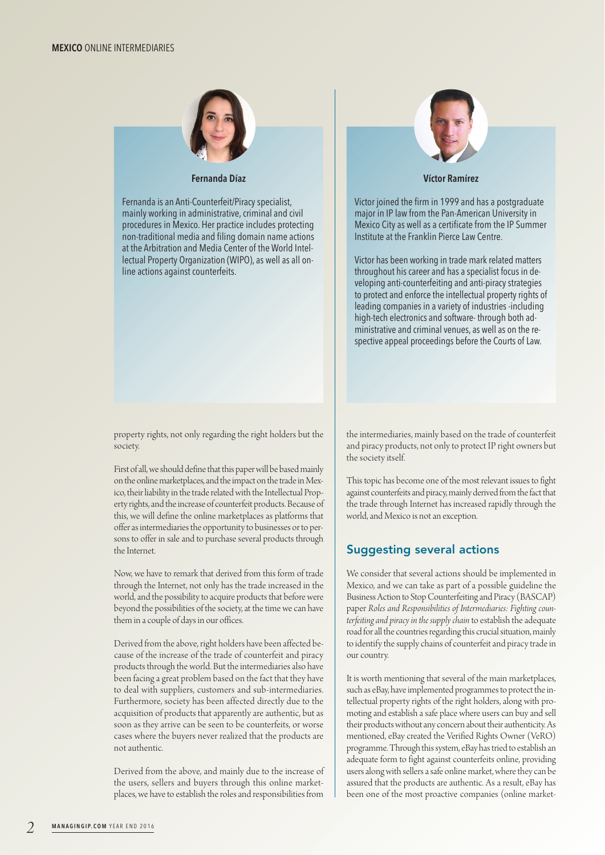

## **Fernanda Díaz**

Fernanda is an Anti-Counterfeit/Piracy specialist, mainly working in administrative, criminal and civil procedures in Mexico. Her practice includes protecting non-traditional media and filing domain name actions at the Arbitration and Media Center of the World Intellectual Property Organization (WIPO), as well as all online actions against counterfeits.



**Víctor Ramírez**

Victor joined the firm in 1999 and has a postgraduate major in IP law from the Pan-American University in Mexico City as well as a certificate from the IP Summer Institute at the Franklin Pierce Law Centre.

Victor has been working in trade mark related matters throughout his career and has a specialist focus in developing anti-counterfeiting and anti-piracy strategies to protect and enforce the intellectual property rights of leading companies in a variety of industries -including high-tech electronics and software- through both administrative and criminal venues, as well as on the respective appeal proceedings before the Courts of Law.

property rights, not only regarding the right holders but the society.

First of all, we should define that this paper will be based mainly on the online marketplaces, and the impact on the trade in Mexico, their liability in the trade related with the Intellectual Property rights, and the increase of counterfeit products. Because of this, we will define the online marketplaces as platforms that offer as intermediaries the opportunity to businesses or to persons to offer in sale and to purchase several products through the Internet.

Now, we have to remark that derived from this form of trade through the Internet, not only has the trade increased in the world, and the possibility to acquire products that before were beyond the possibilities of the society, at the time we can have them in acouple of days in our offices.

Derived from the above, right holders have been affected because of the increase of the trade of counterfeit and piracy products through the world. But the intermediaries also have been facing a great problem based on the fact that they have to deal with suppliers, customers and sub-intermediaries. Furthermore, society has been affected directly due to the acquisition of products that apparently are authentic, but as soon as they arrive can be seen to be counterfeits, or worse cases where the buyers never realized that the products are not authentic.

Derived from the above, and mainly due to the increase of the users, sellers and buyers through this online marketplaces, we have to establish the roles and responsibilities from

the intermediaries, mainly based on the trade of counterfeit and piracy products, not onlyto protect IP right owners but the society itself.

This topic has become one of the most relevant issues to fight against counterfeits and piracy, mainly derived from the fact that the trade through Internet has increased rapidly through the world, and Mexico is not an exception.

## Suggesting several actions

We consider that several actions should be implemented in Mexico, and we can take as part of a possible guideline the Business Action to Stop Counterfeiting and Piracy (BASCAP) paper *Roles and Responsibilities of Intermediaries: Fighting counterfeiting and piracy in the supply chain* to establish the adequate road for all the countries regarding this crucial situation, mainly to identify the supply chains of counterfeit and piracy trade in our country.

It is worth mentioning that several of the main marketplaces, such as eBay, have implemented programmes to protect the intellectual property rights of the right holders, along with promoting and establish a safe place where users can buy and sell their products without any concern about their authenticity. As mentioned, eBay created the Verified Rights Owner (VeRO) programme. Through this system, eBay has tried to establish an adequate form to fight against counterfeits online, providing users along with sellers a safe online market, where they can be assured that the products are authentic. As a result, eBay has been one of the most proactive companies (online market-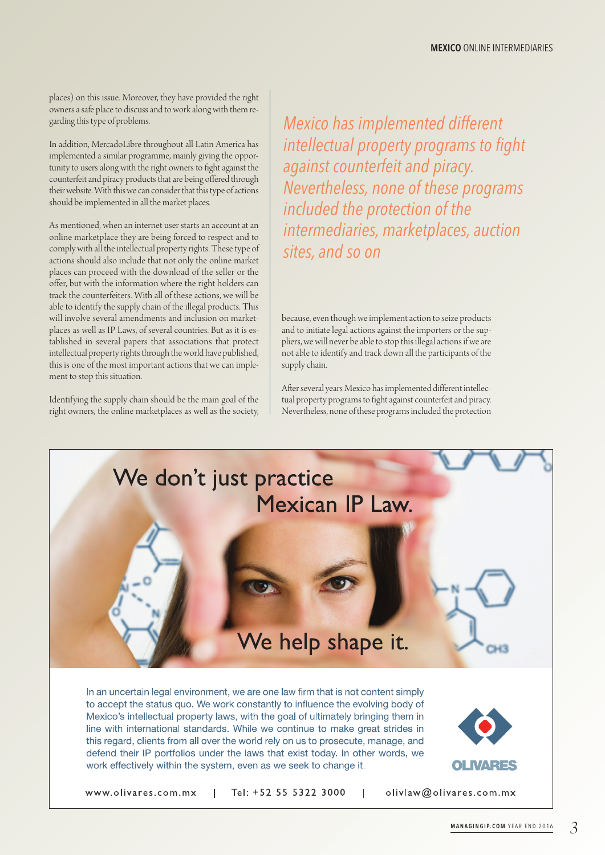places) on this issue. Moreover, they have provided the right owners a safe place to discuss and to work along with them regarding this type of problems.

In addition, MercadoLibre throughout all Latin America has implemented a similar programme, mainly giving the opportunity to users along with the right owners to fight against the counterfeit and piracy products that are being offered through their website. With this we can consider that this type of actions should be implemented in all the market places.

As mentioned, when an internet user starts an account at an online marketplace they are being forced to respect and to comply with all the intellectual property rights. These type of actions should also include that not only the online market places can proceed with the download of the seller or the offer, but with the information where the right holders can track the counterfeiters. With all of these actions, we will be able to identify the supply chain of the illegal products. This will involve several amendments and inclusion on marketplaces as well as IP Laws, of several countries. But as it is established in several papers that associations that protect intellectual property rights through the world have published, this is one of the most important actions that we can implement to stop this situation.

Identifying the supply chain should be the main goal of the right owners, the online marketplaces as well as the society, *Mexico has implemented different intellectual property programs to fight against counterfeit and piracy. Nevertheless, none of these programs included the protection of the intermediaries, marketplaces, auction sites, and so on*

because, even though we implement action to seize products and to initiate legal actions against the importers or the suppliers, we will never be able to stop this illegal actions if we are not able to identify and track down all the participants of the supply chain.

After several years Mexico has implemented different intellectual property programs to fight against counterfeit and piracy. Nevertheless, none of these programs included the protection